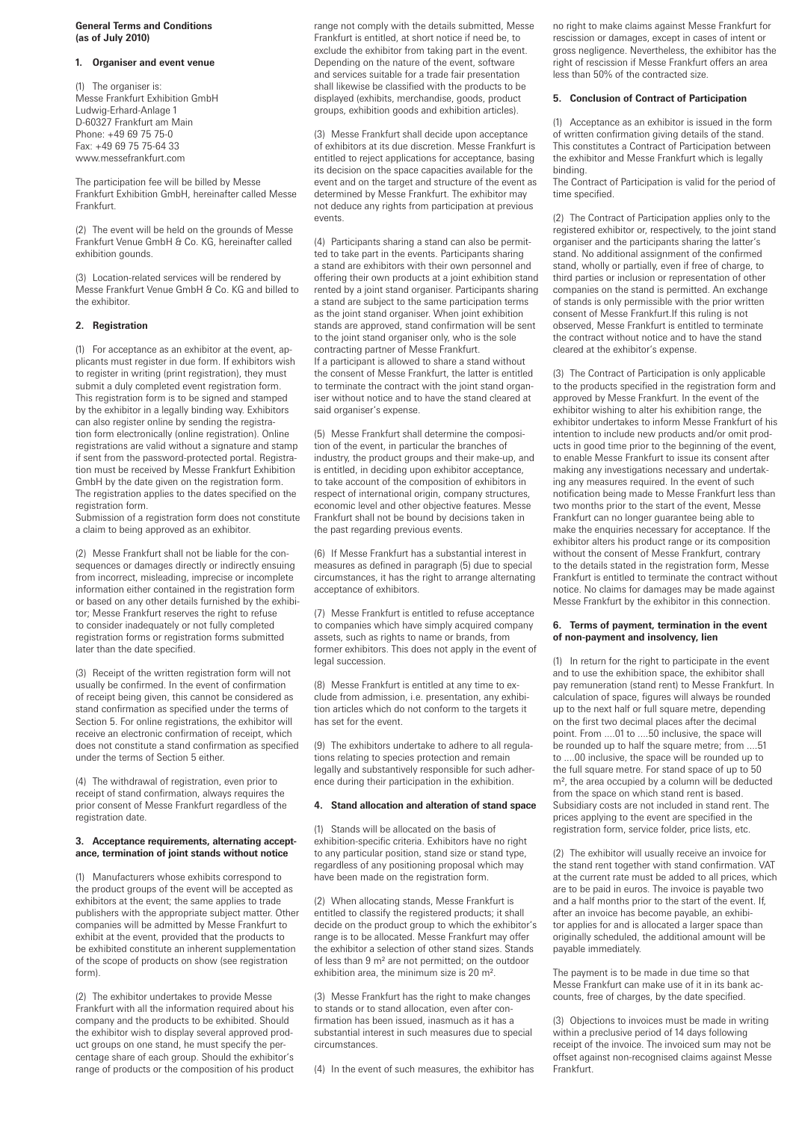# **General Terms and Conditions (as of July 2010)**

#### **1. Organiser and event venue**

(1) The organiser is: Messe Frankfurt Exhibition GmbH Ludwig-Erhard-Anlage 1 D-60327 Frankfurt am Main Phone: +49 69 75 75-0 Fax: +49 69 75 75-64 33 www.messefrankfurt.com

The participation fee will be billed by Messe Frankfurt Exhibition GmbH, hereinafter called Messe Frankfurt.

(2) The event will be held on the grounds of Messe Frankfurt Venue GmbH & Co. KG, hereinafter called exhibition gounds.

(3) Location-related services will be rendered by Messe Frankfurt Venue GmbH & Co. KG and billed to the exhibitor.

# **2. Registration**

(1) For acceptance as an exhibitor at the event, applicants must register in due form. If exhibitors wish to register in writing (print registration), they must submit a duly completed event registration form. This registration form is to be signed and stamped by the exhibitor in a legally binding way. Exhibitors can also register online by sending the registration form electronically (online registration). Online registrations are valid without a signature and stamp if sent from the password-protected portal. Registration must be received by Messe Frankfurt Exhibition GmbH by the date given on the registration form. The registration applies to the dates specified on the registration form.

Submission of a registration form does not constitute a claim to being approved as an exhibitor.

(2) Messe Frankfurt shall not be liable for the consequences or damages directly or indirectly ensuing from incorrect, misleading, imprecise or incomplete information either contained in the registration form or based on any other details furnished by the exhibitor; Messe Frankfurt reserves the right to refuse to consider inadequately or not fully completed registration forms or registration forms submitted later than the date specified.

(3) Receipt of the written registration form will not usually be confirmed. In the event of confirmation of receipt being given, this cannot be considered as stand confirmation as specified under the terms of Section 5. For online registrations, the exhibitor will receive an electronic confirmation of receipt, which does not constitute a stand confirmation as specified under the terms of Section 5 either.

(4) The withdrawal of registration, even prior to receipt of stand confirmation, always requires the prior consent of Messe Frankfurt regardless of the registration date.

# **3. Acceptance requirements, alternating acceptance, termination of joint stands without notice**

(1) Manufacturers whose exhibits correspond to the product groups of the event will be accepted as exhibitors at the event; the same applies to trade publishers with the appropriate subject matter. Other companies will be admitted by Messe Frankfurt to exhibit at the event, provided that the products to be exhibited constitute an inherent supplementation of the scope of products on show (see registration form).

(2) The exhibitor undertakes to provide Messe Frankfurt with all the information required about his company and the products to be exhibited. Should the exhibitor wish to display several approved product groups on one stand, he must specify the percentage share of each group. Should the exhibitor's range of products or the composition of his product range not comply with the details submitted, Messe Frankfurt is entitled, at short notice if need be, to exclude the exhibitor from taking part in the event. Depending on the nature of the event, software and services suitable for a trade fair presentation shall likewise be classified with the products to be displayed (exhibits, merchandise, goods, product groups, exhibition goods and exhibition articles).

(3) Messe Frankfurt shall decide upon acceptance of exhibitors at its due discretion. Messe Frankfurt is entitled to reject applications for acceptance, basing its decision on the space capacities available for the event and on the target and structure of the event as determined by Messe Frankfurt. The exhibitor may not deduce any rights from participation at previous events.

(4) Participants sharing a stand can also be permitted to take part in the events. Participants sharing a stand are exhibitors with their own personnel and offering their own products at a joint exhibition stand rented by a joint stand organiser. Participants sharing a stand are subject to the same participation terms as the joint stand organiser. When joint exhibition stands are approved, stand confirmation will be sent to the joint stand organiser only, who is the sole contracting partner of Messe Frankfurt. If a participant is allowed to share a stand without the consent of Messe Frankfurt, the latter is entitled to terminate the contract with the joint stand organiser without notice and to have the stand cleared at said organiser's expense.

(5) Messe Frankfurt shall determine the composition of the event, in particular the branches of industry, the product groups and their make-up, and is entitled, in deciding upon exhibitor acceptance, to take account of the composition of exhibitors in respect of international origin, company structures, economic level and other objective features. Messe Frankfurt shall not be bound by decisions taken in the past regarding previous events.

(6) If Messe Frankfurt has a substantial interest in measures as defined in paragraph (5) due to special circumstances, it has the right to arrange alternating acceptance of exhibitors.

(7) Messe Frankfurt is entitled to refuse acceptance to companies which have simply acquired company assets, such as rights to name or brands, from former exhibitors. This does not apply in the event of legal succession.

(8) Messe Frankfurt is entitled at any time to exclude from admission, i.e. presentation, any exhibition articles which do not conform to the targets it has set for the event.

(9) The exhibitors undertake to adhere to all regulations relating to species protection and remain legally and substantively responsible for such adherence during their participation in the exhibition.

### **4. Stand allocation and alteration of stand space**

(1) Stands will be allocated on the basis of exhibition-specific criteria. Exhibitors have no right to any particular position, stand size or stand type, regardless of any positioning proposal which may have been made on the registration form.

(2) When allocating stands, Messe Frankfurt is entitled to classify the registered products; it shall decide on the product group to which the exhibitor's range is to be allocated. Messe Frankfurt may offer the exhibitor a selection of other stand sizes. Stands of less than 9 m² are not permitted; on the outdoor exhibition area, the minimum size is 20 m².

(3) Messe Frankfurt has the right to make changes to stands or to stand allocation, even after confirmation has been issued, inasmuch as it has a substantial interest in such measures due to special circumstances.

(4) In the event of such measures, the exhibitor has

no right to make claims against Messe Frankfurt for rescission or damages, except in cases of intent or gross negligence. Nevertheless, the exhibitor has the right of rescission if Messe Frankfurt offers an area less than 50% of the contracted size.

# **5. Conclusion of Contract of Participation**

(1) Acceptance as an exhibitor is issued in the form of written confirmation giving details of the stand. This constitutes a Contract of Participation between the exhibitor and Messe Frankfurt which is legally binding.

The Contract of Participation is valid for the period of time specified.

(2) The Contract of Participation applies only to the registered exhibitor or, respectively, to the joint stand organiser and the participants sharing the latter's stand. No additional assignment of the confirmed stand, wholly or partially, even if free of charge, to third parties or inclusion or representation of other companies on the stand is permitted. An exchange of stands is only permissible with the prior written consent of Messe Frankfurt.If this ruling is not observed, Messe Frankfurt is entitled to terminate the contract without notice and to have the stand cleared at the exhibitor's expense.

(3) The Contract of Participation is only applicable to the products specified in the registration form and approved by Messe Frankfurt. In the event of the exhibitor wishing to alter his exhibition range, the exhibitor undertakes to inform Messe Frankfurt of his intention to include new products and/or omit products in good time prior to the beginning of the event, to enable Messe Frankfurt to issue its consent after making any investigations necessary and undertaking any measures required. In the event of such notification being made to Messe Frankfurt less than two months prior to the start of the event, Messe Frankfurt can no longer guarantee being able to make the enquiries necessary for acceptance. If the exhibitor alters his product range or its composition without the consent of Messe Frankfurt, contrary to the details stated in the registration form, Messe Frankfurt is entitled to terminate the contract without notice. No claims for damages may be made against Messe Frankfurt by the exhibitor in this connection.

#### **6. Terms of payment, termination in the event of non-payment and insolvency, lien**

(1) In return for the right to participate in the event and to use the exhibition space, the exhibitor shall pay remuneration (stand rent) to Messe Frankfurt. In calculation of space, figures will always be rounded up to the next half or full square metre, depending on the first two decimal places after the decimal point. From ....01 to ....50 inclusive, the space will be rounded up to half the square metre; from ....51 to ....00 inclusive, the space will be rounded up to the full square metre. For stand space of up to 50 m<sup>2</sup>, the area occupied by a column will be deducted from the space on which stand rent is based. Subsidiary costs are not included in stand rent. The prices applying to the event are specified in the registration form, service folder, price lists, etc.

(2) The exhibitor will usually receive an invoice for the stand rent together with stand confirmation. VAT at the current rate must be added to all prices, which are to be paid in euros. The invoice is payable two and a half months prior to the start of the event. If, after an invoice has become payable, an exhibitor applies for and is allocated a larger space than originally scheduled, the additional amount will be payable immediately.

The payment is to be made in due time so that Messe Frankfurt can make use of it in its bank accounts, free of charges, by the date specified.

(3) Objections to invoices must be made in writing within a preclusive period of 14 days following receipt of the invoice. The invoiced sum may not be offset against non-recognised claims against Messe Frankfurt.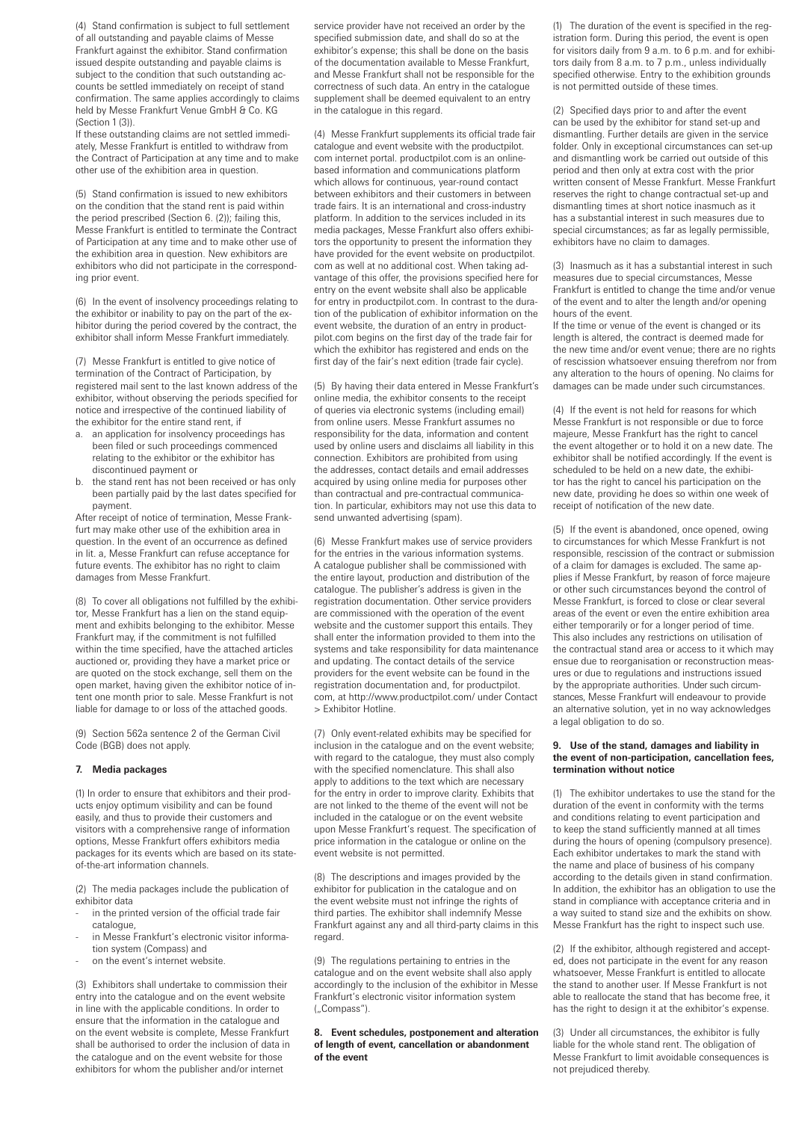(4) Stand confirmation is subject to full settlement of all outstanding and payable claims of Messe Frankfurt against the exhibitor. Stand confirmation issued despite outstanding and payable claims is subject to the condition that such outstanding accounts be settled immediately on receipt of stand confirmation. The same applies accordingly to claims held by Messe Frankfurt Venue GmbH & Co. KG (Section 1 (3)).

If these outstanding claims are not settled immediately, Messe Frankfurt is entitled to withdraw from the Contract of Participation at any time and to make other use of the exhibition area in question.

(5) Stand confirmation is issued to new exhibitors on the condition that the stand rent is paid within the period prescribed (Section 6. (2)); failing this, Messe Frankfurt is entitled to terminate the Contract of Participation at any time and to make other use of the exhibition area in question. New exhibitors are exhibitors who did not participate in the corresponding prior event.

(6) In the event of insolvency proceedings relating to the exhibitor or inability to pay on the part of the exhibitor during the period covered by the contract, the exhibitor shall inform Messe Frankfurt immediately.

(7) Messe Frankfurt is entitled to give notice of termination of the Contract of Participation, by registered mail sent to the last known address of the exhibitor, without observing the periods specified for notice and irrespective of the continued liability of the exhibitor for the entire stand rent, if

- a. an application for insolvency proceedings has been filed or such proceedings commenced relating to the exhibitor or the exhibitor has discontinued payment or
- b. the stand rent has not been received or has only been partially paid by the last dates specified for payment.

After receipt of notice of termination, Messe Frankfurt may make other use of the exhibition area in question. In the event of an occurrence as defined in lit. a, Messe Frankfurt can refuse acceptance for future events. The exhibitor has no right to claim damages from Messe Frankfurt.

(8) To cover all obligations not fulfilled by the exhibitor, Messe Frankfurt has a lien on the stand equipment and exhibits belonging to the exhibitor. Messe Frankfurt may, if the commitment is not fulfilled within the time specified, have the attached articles auctioned or, providing they have a market price or are quoted on the stock exchange, sell them on the open market, having given the exhibitor notice of intent one month prior to sale. Messe Frankfurt is not liable for damage to or loss of the attached goods.

(9) Section 562a sentence 2 of the German Civil Code (BGB) does not apply.

# **7. Media packages**

(1) In order to ensure that exhibitors and their products enjoy optimum visibility and can be found easily, and thus to provide their customers and visitors with a comprehensive range of information options, Messe Frankfurt offers exhibitors media packages for its events which are based on its stateof-the-art information channels.

(2) The media packages include the publication of exhibitor data

- in the printed version of the official trade fair catalogue
- in Messe Frankfurt's electronic visitor information system (Compass) and
- on the event's internet website.

(3) Exhibitors shall undertake to commission their entry into the catalogue and on the event website in line with the applicable conditions. In order to ensure that the information in the catalogue and on the event website is complete, Messe Frankfurt shall be authorised to order the inclusion of data in the catalogue and on the event website for those exhibitors for whom the publisher and/or internet

service provider have not received an order by the specified submission date, and shall do so at the exhibitor's expense; this shall be done on the basis of the documentation available to Messe Frankfurt, and Messe Frankfurt shall not be responsible for the correctness of such data. An entry in the catalogue supplement shall be deemed equivalent to an entry in the catalogue in this regard.

(4) Messe Frankfurt supplements its official trade fair catalogue and event website with the productpilot. com internet portal. productpilot.com is an onlinebased information and communications platform which allows for continuous, year-round contact between exhibitors and their customers in between trade fairs. It is an international and cross-industry platform. In addition to the services included in its media packages, Messe Frankfurt also offers exhibitors the opportunity to present the information they have provided for the event website on productpilot. com as well at no additional cost. When taking advantage of this offer, the provisions specified here for entry on the event website shall also be applicable for entry in productpilot.com. In contrast to the duration of the publication of exhibitor information on the event website, the duration of an entry in productpilot.com begins on the first day of the trade fair for which the exhibitor has registered and ends on the first day of the fair's next edition (trade fair cycle).

(5) By having their data entered in Messe Frankfurt's online media, the exhibitor consents to the receipt of queries via electronic systems (including email) from online users. Messe Frankfurt assumes no responsibility for the data, information and content used by online users and disclaims all liability in this connection. Exhibitors are prohibited from using the addresses, contact details and email addresses acquired by using online media for purposes other than contractual and pre-contractual communication. In particular, exhibitors may not use this data to send unwanted advertising (spam).

(6) Messe Frankfurt makes use of service providers for the entries in the various information systems. A catalogue publisher shall be commissioned with the entire layout, production and distribution of the catalogue. The publisher's address is given in the registration documentation. Other service providers are commissioned with the operation of the event website and the customer support this entails. They shall enter the information provided to them into the systems and take responsibility for data maintenance and updating. The contact details of the service providers for the event website can be found in the registration documentation and, for productpilot. com, at http://www.productpilot.com/ under Contact > Exhibitor Hotline.

(7) Only event-related exhibits may be specified for inclusion in the catalogue and on the event website; with regard to the catalogue, they must also comply with the specified nomenclature. This shall also apply to additions to the text which are necessary for the entry in order to improve clarity. Exhibits that are not linked to the theme of the event will not be included in the catalogue or on the event website upon Messe Frankfurt's request. The specification of price information in the catalogue or online on the event website is not permitted.

(8) The descriptions and images provided by the exhibitor for publication in the catalogue and on the event website must not infringe the rights of third parties. The exhibitor shall indemnify Messe Frankfurt against any and all third-party claims in this regard.

(9) The regulations pertaining to entries in the catalogue and on the event website shall also apply accordingly to the inclusion of the exhibitor in Messe Frankfurt's electronic visitor information system ("Compass").

**8. Event schedules, postponement and alteration of length of event, cancellation or abandonment of the event**

(1) The duration of the event is specified in the registration form. During this period, the event is open for visitors daily from 9 a.m. to 6 p.m. and for exhibitors daily from 8 a.m. to 7 p.m., unless individually specified otherwise. Entry to the exhibition grounds is not permitted outside of these times.

(2) Specified days prior to and after the event can be used by the exhibitor for stand set-up and dismantling. Further details are given in the service folder. Only in exceptional circumstances can set-up and dismantling work be carried out outside of this period and then only at extra cost with the prior written consent of Messe Frankfurt. Messe Frankfurt reserves the right to change contractual set-up and dismantling times at short notice inasmuch as it has a substantial interest in such measures due to special circumstances; as far as legally permissible, exhibitors have no claim to damages.

(3) Inasmuch as it has a substantial interest in such measures due to special circumstances, Messe Frankfurt is entitled to change the time and/or venue of the event and to alter the length and/or opening hours of the event.

If the time or venue of the event is changed or its length is altered, the contract is deemed made for the new time and/or event venue; there are no rights of rescission whatsoever ensuing therefrom nor from any alteration to the hours of opening. No claims for damages can be made under such circumstances.

(4) If the event is not held for reasons for which Messe Frankfurt is not responsible or due to force majeure, Messe Frankfurt has the right to cancel the event altogether or to hold it on a new date. The exhibitor shall be notified accordingly. If the event is scheduled to be held on a new date, the exhibitor has the right to cancel his participation on the new date, providing he does so within one week of receipt of notification of the new date.

(5) If the event is abandoned, once opened, owing to circumstances for which Messe Frankfurt is not responsible, rescission of the contract or submission of a claim for damages is excluded. The same applies if Messe Frankfurt, by reason of force majeure or other such circumstances beyond the control of Messe Frankfurt, is forced to close or clear several areas of the event or even the entire exhibition area either temporarily or for a longer period of time. This also includes any restrictions on utilisation of the contractual stand area or access to it which may ensue due to reorganisation or reconstruction measures or due to regulations and instructions issued by the appropriate authorities. Under such circumstances, Messe Frankfurt will endeavour to provide an alternative solution, yet in no way acknowledges a legal obligation to do so.

## **9. Use of the stand, damages and liability in the event of non-participation, cancellation fees, termination without notice**

(1) The exhibitor undertakes to use the stand for the duration of the event in conformity with the terms and conditions relating to event participation and to keep the stand sufficiently manned at all times during the hours of opening (compulsory presence). Each exhibitor undertakes to mark the stand with the name and place of business of his company according to the details given in stand confirmation. In addition, the exhibitor has an obligation to use the stand in compliance with acceptance criteria and in a way suited to stand size and the exhibits on show. Messe Frankfurt has the right to inspect such use.

(2) If the exhibitor, although registered and accepted, does not participate in the event for any reason whatsoever, Messe Frankfurt is entitled to allocate the stand to another user. If Messe Frankfurt is not able to reallocate the stand that has become free, it has the right to design it at the exhibitor's expense.

(3) Under all circumstances, the exhibitor is fully liable for the whole stand rent. The obligation of Messe Frankfurt to limit avoidable consequences is not prejudiced thereby.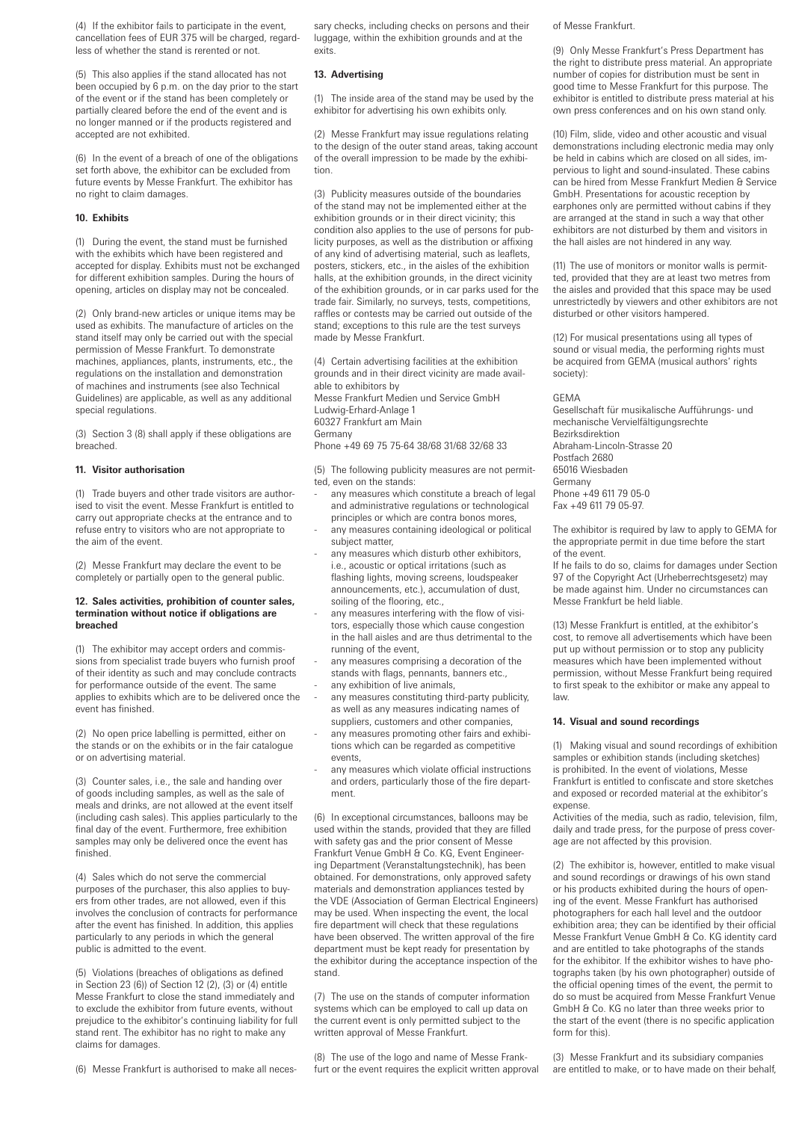(4) If the exhibitor fails to participate in the event, cancellation fees of EUR 375 will be charged, regardless of whether the stand is rerented or not.

(5) This also applies if the stand allocated has not been occupied by 6 p.m. on the day prior to the start of the event or if the stand has been completely or partially cleared before the end of the event and is no longer manned or if the products registered and accepted are not exhibited.

(6) In the event of a breach of one of the obligations set forth above, the exhibitor can be excluded from future events by Messe Frankfurt. The exhibitor has no right to claim damages.

## **10. Exhibits**

(1) During the event, the stand must be furnished with the exhibits which have been registered and accepted for display. Exhibits must not be exchanged for different exhibition samples. During the hours of opening, articles on display may not be concealed.

(2) Only brand-new articles or unique items may be used as exhibits. The manufacture of articles on the stand itself may only be carried out with the special permission of Messe Frankfurt. To demonstrate machines, appliances, plants, instruments, etc., the regulations on the installation and demonstration of machines and instruments (see also Technical Guidelines) are applicable, as well as any additional special regulations.

(3) Section 3 (8) shall apply if these obligations are breached.

#### **11. Visitor authorisation**

(1) Trade buyers and other trade visitors are authorised to visit the event. Messe Frankfurt is entitled to carry out appropriate checks at the entrance and to refuse entry to visitors who are not appropriate to the aim of the event.

(2) Messe Frankfurt may declare the event to be completely or partially open to the general public.

## **12. Sales activities, prohibition of counter sales, termination without notice if obligations are breached**

(1) The exhibitor may accept orders and commissions from specialist trade buyers who furnish proof of their identity as such and may conclude contracts for performance outside of the event. The same applies to exhibits which are to be delivered once the event has finished.

(2) No open price labelling is permitted, either on the stands or on the exhibits or in the fair catalogue or on advertising material.

(3) Counter sales, i.e., the sale and handing over of goods including samples, as well as the sale of meals and drinks, are not allowed at the event itself (including cash sales). This applies particularly to the final day of the event. Furthermore, free exhibition samples may only be delivered once the event has finished.

(4) Sales which do not serve the commercial purposes of the purchaser, this also applies to buyers from other trades, are not allowed, even if this involves the conclusion of contracts for performance after the event has finished. In addition, this applies particularly to any periods in which the general public is admitted to the event.

(5) Violations (breaches of obligations as defined in Section 23 (6)) of Section 12 (2), (3) or (4) entitle Messe Frankfurt to close the stand immediately and to exclude the exhibitor from future events, without prejudice to the exhibitor's continuing liability for full stand rent. The exhibitor has no right to make any claims for damages.

(6) Messe Frankfurt is authorised to make all neces-

sary checks, including checks on persons and their luggage, within the exhibition grounds and at the exits.

#### **13. Advertising**

(1) The inside area of the stand may be used by the exhibitor for advertising his own exhibits only.

(2) Messe Frankfurt may issue regulations relating to the design of the outer stand areas, taking account of the overall impression to be made by the exhibition.

(3) Publicity measures outside of the boundaries of the stand may not be implemented either at the exhibition grounds or in their direct vicinity; this condition also applies to the use of persons for publicity purposes, as well as the distribution or affixing of any kind of advertising material, such as leaflets, posters, stickers, etc., in the aisles of the exhibition halls, at the exhibition grounds, in the direct vicinity of the exhibition grounds, or in car parks used for the trade fair. Similarly, no surveys, tests, competitions, raffles or contests may be carried out outside of the stand; exceptions to this rule are the test surveys made by Messe Frankfurt.

(4) Certain advertising facilities at the exhibition grounds and in their direct vicinity are made available to exhibitors by Messe Frankfurt Medien und Service GmbH Ludwig-Erhard-Anlage 1 60327 Frankfurt am Main

Germany

Phone +49 69 75 75-64 38/68 31/68 32/68 33

(5) The following publicity measures are not permitted, even on the stands:

- any measures which constitute a breach of legal and administrative regulations or technological principles or which are contra bonos mores,
- any measures containing ideological or political subject matter,
- any measures which disturb other exhibitors, i.e., acoustic or optical irritations (such as flashing lights, moving screens, loudspeaker announcements, etc.), accumulation of dust, soiling of the flooring, etc.,
- any measures interfering with the flow of visitors, especially those which cause congestion in the hall aisles and are thus detrimental to the running of the event,
- any measures comprising a decoration of the stands with flags, pennants, banners etc.,
- any exhibition of live animals
- any measures constituting third-party publicity, as well as any measures indicating names of suppliers, customers and other companies,
- any measures promoting other fairs and exhibitions which can be regarded as competitive events,
- any measures which violate official instructions and orders, particularly those of the fire department.

(6) In exceptional circumstances, balloons may be used within the stands, provided that they are filled with safety gas and the prior consent of Messe Frankfurt Venue GmbH & Co. KG, Event Engineering Department (Veranstaltungstechnik), has been obtained. For demonstrations, only approved safety materials and demonstration appliances tested by the VDE (Association of German Electrical Engineers) may be used. When inspecting the event, the local fire department will check that these regulations have been observed. The written approval of the fire department must be kept ready for presentation by the exhibitor during the acceptance inspection of the stand.

(7) The use on the stands of computer information systems which can be employed to call up data on the current event is only permitted subject to the written approval of Messe Frankfurt.

(8) The use of the logo and name of Messe Frankfurt or the event requires the explicit written approval of Messe Frankfurt.

(9) Only Messe Frankfurt's Press Department has the right to distribute press material. An appropriate number of copies for distribution must be sent in good time to Messe Frankfurt for this purpose. The exhibitor is entitled to distribute press material at his own press conferences and on his own stand only.

(10) Film, slide, video and other acoustic and visual demonstrations including electronic media may only be held in cabins which are closed on all sides, impervious to light and sound-insulated. These cabins can be hired from Messe Frankfurt Medien & Service GmbH. Presentations for acoustic reception by earphones only are permitted without cabins if they are arranged at the stand in such a way that other exhibitors are not disturbed by them and visitors in the hall aisles are not hindered in any way.

(11) The use of monitors or monitor walls is permitted, provided that they are at least two metres from the aisles and provided that this space may be used unrestrictedly by viewers and other exhibitors are not disturbed or other visitors hampered.

(12) For musical presentations using all types of sound or visual media, the performing rights must be acquired from GEMA (musical authors' rights society):

GEMA

Gesellschaft für musikalische Aufführungs- und mechanische Vervielfältigungsrechte Bezirksdirektion Abraham-Lincoln-Strasse 20 Postfach 2680 65016 Wiesbaden Germany Phone +49 611 79 05-0 Fax +49 611 79 05-97.

The exhibitor is required by law to apply to GEMA for the appropriate permit in due time before the start of the event.

If he fails to do so, claims for damages under Section 97 of the Copyright Act (Urheberrechtsgesetz) may be made against him. Under no circumstances can Messe Frankfurt be held liable.

(13) Messe Frankfurt is entitled, at the exhibitor's cost, to remove all advertisements which have been put up without permission or to stop any publicity measures which have been implemented without permission, without Messe Frankfurt being required to first speak to the exhibitor or make any appeal to law.

# **14. Visual and sound recordings**

(1) Making visual and sound recordings of exhibition samples or exhibition stands (including sketches) is prohibited. In the event of violations, Messe Frankfurt is entitled to confiscate and store sketches and exposed or recorded material at the exhibitor's expense.

Activities of the media, such as radio, television, film, daily and trade press, for the purpose of press coverage are not affected by this provision.

(2) The exhibitor is, however, entitled to make visual and sound recordings or drawings of his own stand or his products exhibited during the hours of opening of the event. Messe Frankfurt has authorised photographers for each hall level and the outdoor exhibition area; they can be identified by their official Messe Frankfurt Venue GmbH & Co. KG identity card and are entitled to take photographs of the stands for the exhibitor. If the exhibitor wishes to have photographs taken (by his own photographer) outside of the official opening times of the event, the permit to do so must be acquired from Messe Frankfurt Venue GmbH & Co. KG no later than three weeks prior to the start of the event (there is no specific application form for this).

(3) Messe Frankfurt and its subsidiary companies are entitled to make, or to have made on their behalf,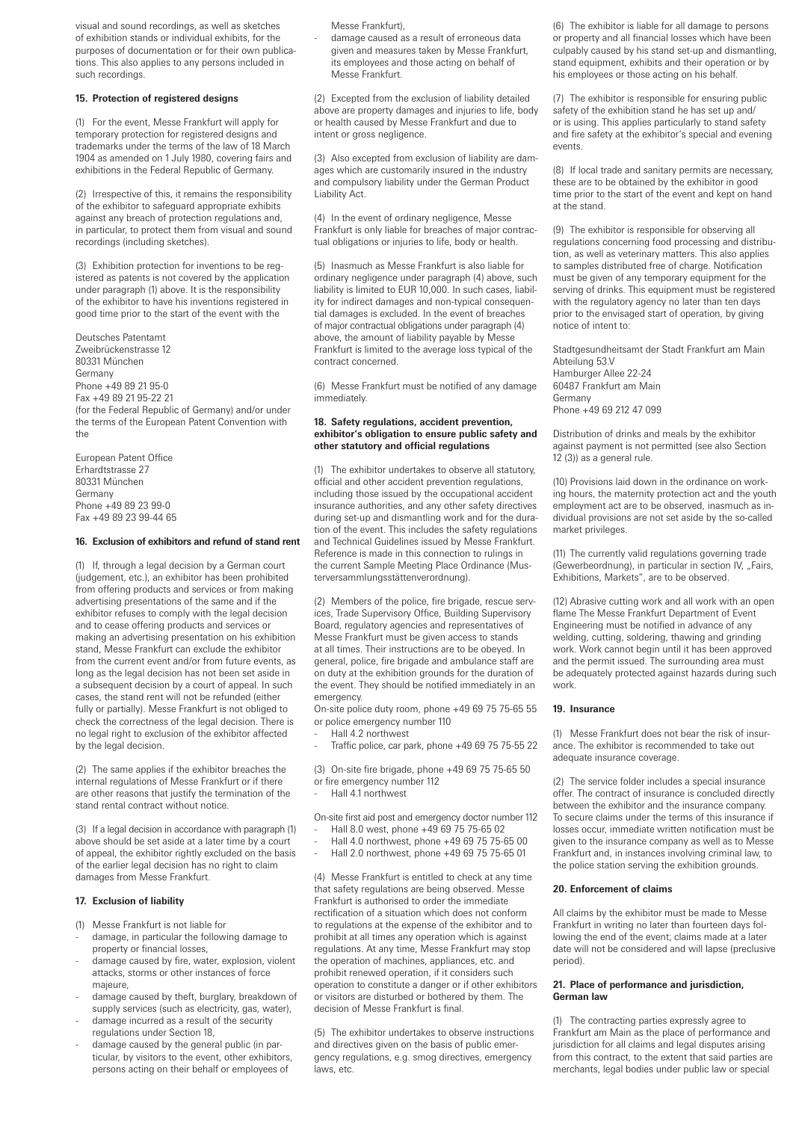visual and sound recordings, as well as sketches of exhibition stands or individual exhibits, for the purposes of documentation or for their own publications. This also applies to any persons included in such recordings.

# **15. Protection of registered designs**

(1) For the event, Messe Frankfurt will apply for temporary protection for registered designs and trademarks under the terms of the law of 18 March 1904 as amended on 1 July 1980, covering fairs and exhibitions in the Federal Republic of Germany.

(2) Irrespective of this, it remains the responsibility of the exhibitor to safeguard appropriate exhibits against any breach of protection regulations and, in particular, to protect them from visual and sound recordings (including sketches).

(3) Exhibition protection for inventions to be registered as patents is not covered by the application under paragraph (1) above. It is the responsibility of the exhibitor to have his inventions registered in good time prior to the start of the event with the

Deutsches Patentamt Zweibrückenstrasse 12 80331 München Germany Phone +49 89 21 95-0 Fax +49 89 21 95-22 21 (for the Federal Republic of Germany) and/or under the terms of the European Patent Convention with the

European Patent Office Erhardtstrasse 27 80331 München Germany Phone +49 89 23 99-0 Fax +49 89 23 99-44 65

# **16. Exclusion of exhibitors and refund of stand rent**

(1) If, through a legal decision by a German court (judgement, etc.), an exhibitor has been prohibited from offering products and services or from making advertising presentations of the same and if the exhibitor refuses to comply with the legal decision and to cease offering products and services or making an advertising presentation on his exhibition stand, Messe Frankfurt can exclude the exhibitor from the current event and/or from future events, as long as the legal decision has not been set aside in a subsequent decision by a court of appeal. In such cases, the stand rent will not be refunded (either fully or partially). Messe Frankfurt is not obliged to check the correctness of the legal decision. There is no legal right to exclusion of the exhibitor affected by the legal decision.

(2) The same applies if the exhibitor breaches the internal regulations of Messe Frankfurt or if there are other reasons that justify the termination of the stand rental contract without notice.

(3) If a legal decision in accordance with paragraph (1) above should be set aside at a later time by a court of appeal, the exhibitor rightly excluded on the basis of the earlier legal decision has no right to claim damages from Messe Frankfurt.

## **17. Exclusion of liability**

- (1) Messe Frankfurt is not liable for
- damage, in particular the following damage to property or financial losses,
- damage caused by fire, water, explosion, violent attacks, storms or other instances of force majeure,
- damage caused by theft, burglary, breakdown of supply services (such as electricity, gas, water),
- damage incurred as a result of the security regulations under Section 18,
- damage caused by the general public (in particular, by visitors to the event, other exhibitors, persons acting on their behalf or employees of

Messe Frankfurt),

- damage caused as a result of erroneous data given and measures taken by Messe Frankfurt, its employees and those acting on behalf of Messe Frankfurt.

(2) Excepted from the exclusion of liability detailed above are property damages and injuries to life, body or health caused by Messe Frankfurt and due to intent or gross negligence.

(3) Also excepted from exclusion of liability are damages which are customarily insured in the industry and compulsory liability under the German Product Liability Act.

(4) In the event of ordinary negligence, Messe Frankfurt is only liable for breaches of major contractual obligations or injuries to life, body or health.

(5) Inasmuch as Messe Frankfurt is also liable for ordinary negligence under paragraph (4) above, such liability is limited to EUR 10,000. In such cases, liability for indirect damages and non-typical consequential damages is excluded. In the event of breaches of major contractual obligations under paragraph (4) above, the amount of liability payable by Messe Frankfurt is limited to the average loss typical of the contract concerned.

(6) Messe Frankfurt must be notified of any damage immediately.

## **18. Safety regulations, accident prevention, exhibitor's obligation to ensure public safety and other statutory and official regulations**

(1) The exhibitor undertakes to observe all statutory, official and other accident prevention regulations, including those issued by the occupational accident insurance authorities, and any other safety directives during set-up and dismantling work and for the duration of the event. This includes the safety regulations and Technical Guidelines issued by Messe Frankfurt. Reference is made in this connection to rulings in the current Sample Meeting Place Ordinance (Musterversammlungsstättenverordnung).

(2) Members of the police, fire brigade, rescue services, Trade Supervisory Office, Building Supervisory Board, regulatory agencies and representatives of Messe Frankfurt must be given access to stands at all times. Their instructions are to be obeyed. In general, police, fire brigade and ambulance staff are on duty at the exhibition grounds for the duration of the event. They should be notified immediately in an emergency.

On-site police duty room, phone +49 69 75 75-65 55 or police emergency number 110

- Hall 4.2 northwest
- Traffic police, car park, phone +49 69 75 75-55 22

(3) On-site fire brigade, phone +49 69 75 75-65 50 or fire emergency number 112 - Hall 4.1 northwest

On-site first aid post and emergency doctor number 112 - Hall 8.0 west, phone +49 69 75 75-65 02

- Hall 4.0 northwest, phone +49 69 75 75-65 00
- Hall 2.0 northwest, phone +49 69 75 75-65 01

(4) Messe Frankfurt is entitled to check at any time that safety regulations are being observed. Messe Frankfurt is authorised to order the immediate rectification of a situation which does not conform to regulations at the expense of the exhibitor and to prohibit at all times any operation which is against regulations. At any time, Messe Frankfurt may stop the operation of machines, appliances, etc. and prohibit renewed operation, if it considers such operation to constitute a danger or if other exhibitors or visitors are disturbed or bothered by them. The decision of Messe Frankfurt is final.

(5) The exhibitor undertakes to observe instructions and directives given on the basis of public emergency regulations, e.g. smog directives, emergency laws, etc.

(6) The exhibitor is liable for all damage to persons or property and all financial losses which have been culpably caused by his stand set-up and dismantling, stand equipment, exhibits and their operation or by his employees or those acting on his behalf.

(7) The exhibitor is responsible for ensuring public safety of the exhibition stand he has set up and/ or is using. This applies particularly to stand safety and fire safety at the exhibitor's special and evening events.

(8) If local trade and sanitary permits are necessary, these are to be obtained by the exhibitor in good time prior to the start of the event and kept on hand at the stand.

(9) The exhibitor is responsible for observing all regulations concerning food processing and distribution, as well as veterinary matters. This also applies to samples distributed free of charge. Notification must be given of any temporary equipment for the serving of drinks. This equipment must be registered with the regulatory agency no later than ten days prior to the envisaged start of operation, by giving notice of intent to:

Stadtgesundheitsamt der Stadt Frankfurt am Main Abteilung 53.V Hamburger Allee 22-24 60487 Frankfurt am Main Germany Phone +49 69 212 47 099

Distribution of drinks and meals by the exhibitor against payment is not permitted (see also Section 12 (3)) as a general rule.

(10) Provisions laid down in the ordinance on working hours, the maternity protection act and the youth employment act are to be observed, inasmuch as individual provisions are not set aside by the so-called market privileges.

(11) The currently valid regulations governing trade (Gewerbeordnung), in particular in section IV, "Fairs, Exhibitions, Markets", are to be observed.

(12) Abrasive cutting work and all work with an open flame The Messe Frankfurt Department of Event Engineering must be notified in advance of any welding, cutting, soldering, thawing and grinding work. Work cannot begin until it has been approved and the permit issued. The surrounding area must be adequately protected against hazards during such work.

## **19. Insurance**

(1) Messe Frankfurt does not bear the risk of insurance. The exhibitor is recommended to take out adequate insurance coverage.

(2) The service folder includes a special insurance offer. The contract of insurance is concluded directly between the exhibitor and the insurance company. To secure claims under the terms of this insurance if losses occur, immediate written notification must be given to the insurance company as well as to Messe Frankfurt and, in instances involving criminal law, to the police station serving the exhibition grounds.

## **20. Enforcement of claims**

All claims by the exhibitor must be made to Messe Frankfurt in writing no later than fourteen days following the end of the event; claims made at a later date will not be considered and will lapse (preclusive period).

### **21. Place of performance and jurisdiction, German law**

(1) The contracting parties expressly agree to Frankfurt am Main as the place of performance and jurisdiction for all claims and legal disputes arising from this contract, to the extent that said parties are merchants, legal bodies under public law or special